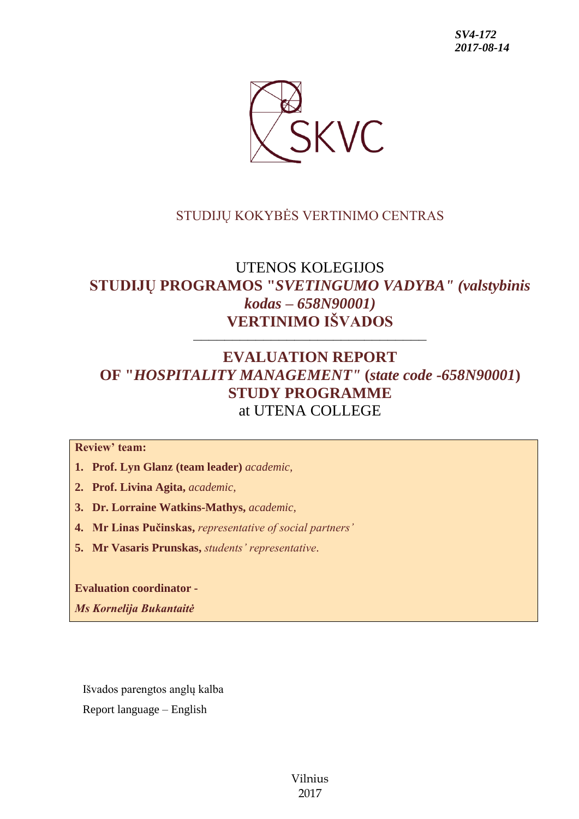

### STUDIJŲ KOKYBĖS VERTINIMO CENTRAS

# UTENOS KOLEGIJOS **STUDIJŲ PROGRAMOS "***SVETINGUMO VADYBA" (valstybinis kodas – 658N90001)* **VERTINIMO IŠVADOS**

––––––––––––––––––––––––––––––

## **EVALUATION REPORT OF "***HOSPITALITY MANAGEMENT"* **(***state code -658N90001***) STUDY PROGRAMME** at UTENA COLLEGE

**Review' team:** 

**1. Prof. Lyn Glanz (team leader)** *academic,*

- **2. Prof. Livina Agita,** *academic,*
- **3. Dr. Lorraine Watkins-Mathys,** *academic,*
- **4. Mr Linas Pučinskas,** *representative of social partners'*
- **5. Mr Vasaris Prunskas,** *students' representative*.

**Evaluation coordinator -**

*Ms Kornelija Bukantaitė*

Išvados parengtos anglų kalba

Report language – English

Vilnius 2017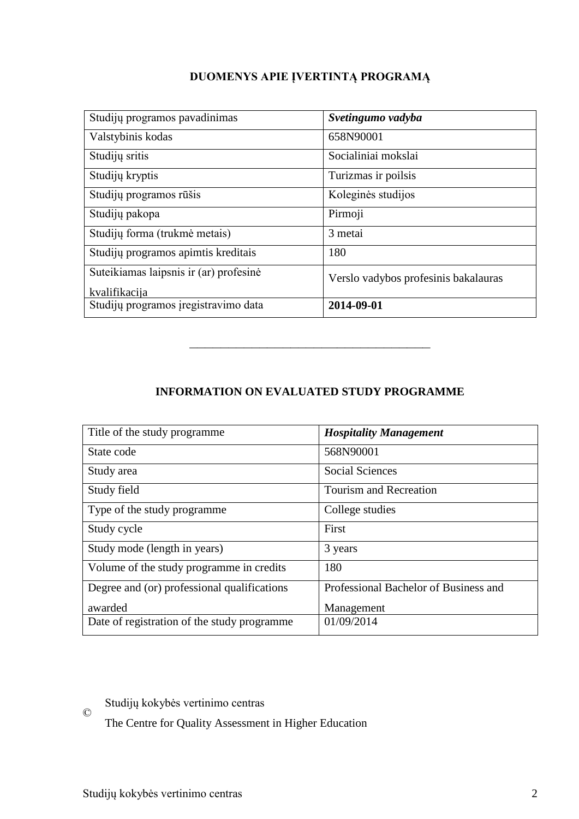### **DUOMENYS APIE ĮVERTINTĄ PROGRAMĄ**

| Studijų programos pavadinimas          | Svetingumo vadyba                    |
|----------------------------------------|--------------------------------------|
| Valstybinis kodas                      | 658N90001                            |
| Studijų sritis                         | Socialiniai mokslai                  |
| Studijų kryptis                        | Turizmas ir poilsis                  |
| Studijų programos rūšis                | Koleginės studijos                   |
| Studijų pakopa                         | Pirmoji                              |
| Studijų forma (trukmė metais)          | 3 metai                              |
| Studijų programos apimtis kreditais    | 180                                  |
| Suteikiamas laipsnis ir (ar) profesinė | Verslo vadybos profesinis bakalauras |
| kvalifikacija                          |                                      |
| Studijų programos įregistravimo data   | 2014-09-01                           |

**INFORMATION ON EVALUATED STUDY PROGRAMME**

–––––––––––––––––––––––––––––––

| Title of the study programme                | <b>Hospitality Management</b>         |
|---------------------------------------------|---------------------------------------|
| State code                                  | 568N90001                             |
| Study area                                  | <b>Social Sciences</b>                |
| Study field                                 | <b>Tourism and Recreation</b>         |
| Type of the study programme                 | College studies                       |
| Study cycle                                 | First                                 |
| Study mode (length in years)                | 3 years                               |
| Volume of the study programme in credits    | 180                                   |
| Degree and (or) professional qualifications | Professional Bachelor of Business and |
| awarded                                     | Management                            |
| Date of registration of the study programme | 01/09/2014                            |

© Studijų kokybės vertinimo centras

The Centre for Quality Assessment in Higher Education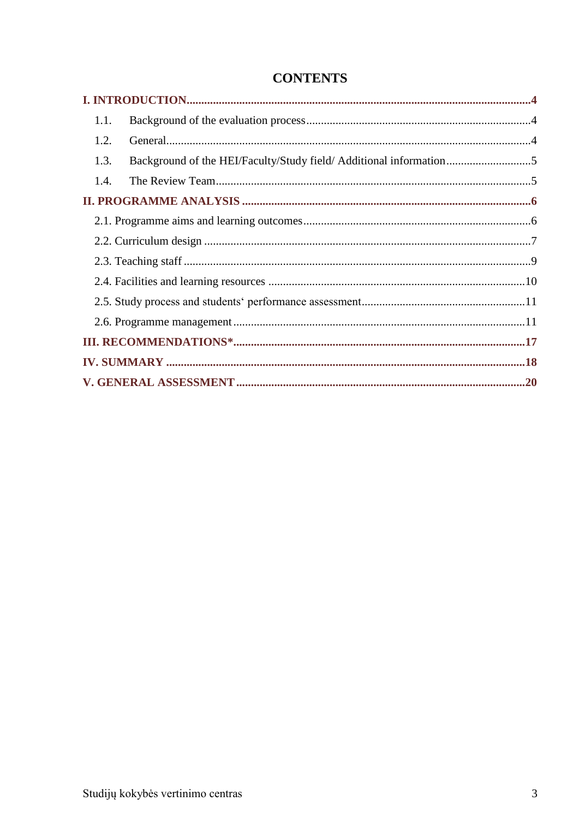## **CONTENTS**

| 1.1.                                                                       |  |
|----------------------------------------------------------------------------|--|
| 1.2.                                                                       |  |
| Background of the HEI/Faculty/Study field/ Additional information5<br>1.3. |  |
| 1.4.                                                                       |  |
|                                                                            |  |
|                                                                            |  |
|                                                                            |  |
|                                                                            |  |
|                                                                            |  |
|                                                                            |  |
|                                                                            |  |
|                                                                            |  |
|                                                                            |  |
|                                                                            |  |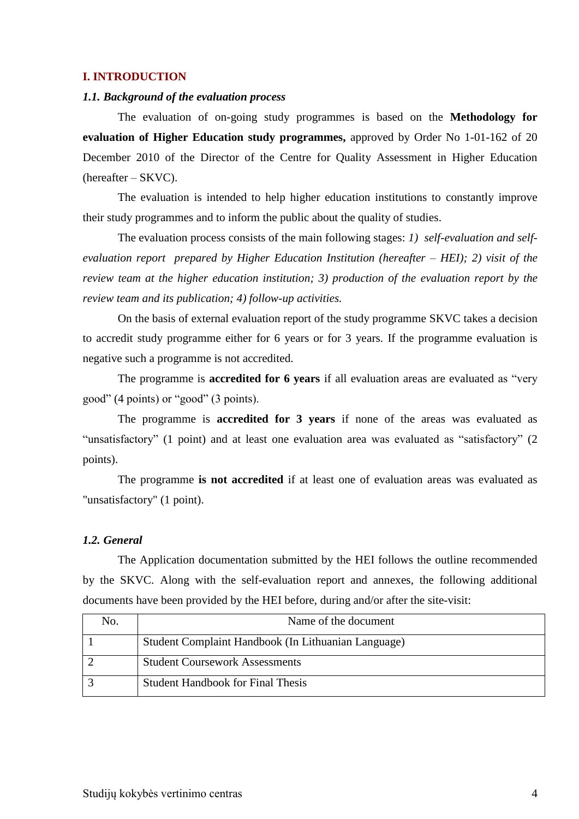#### <span id="page-3-0"></span>**I. INTRODUCTION**

#### <span id="page-3-1"></span>*1.1. Background of the evaluation process*

The evaluation of on-going study programmes is based on the **Methodology for evaluation of Higher Education study programmes,** approved by Order No 1-01-162 of 20 December 2010 of the Director of the Centre for Quality Assessment in Higher Education (hereafter – SKVC).

The evaluation is intended to help higher education institutions to constantly improve their study programmes and to inform the public about the quality of studies.

The evaluation process consists of the main following stages: *1) self-evaluation and selfevaluation report prepared by Higher Education Institution (hereafter – HEI); 2) visit of the review team at the higher education institution; 3) production of the evaluation report by the review team and its publication; 4) follow-up activities.* 

On the basis of external evaluation report of the study programme SKVC takes a decision to accredit study programme either for 6 years or for 3 years. If the programme evaluation is negative such a programme is not accredited.

The programme is **accredited for 6 years** if all evaluation areas are evaluated as "very good" (4 points) or "good" (3 points).

The programme is **accredited for 3 years** if none of the areas was evaluated as "unsatisfactory" (1 point) and at least one evaluation area was evaluated as "satisfactory" (2 points).

The programme **is not accredited** if at least one of evaluation areas was evaluated as "unsatisfactory" (1 point).

#### <span id="page-3-2"></span>*1.2. General*

The Application documentation submitted by the HEI follows the outline recommended by the SKVC. Along with the self-evaluation report and annexes, the following additional documents have been provided by the HEI before, during and/or after the site-visit:

| No. | Name of the document                                |
|-----|-----------------------------------------------------|
|     | Student Complaint Handbook (In Lithuanian Language) |
|     | <b>Student Coursework Assessments</b>               |
|     | <b>Student Handbook for Final Thesis</b>            |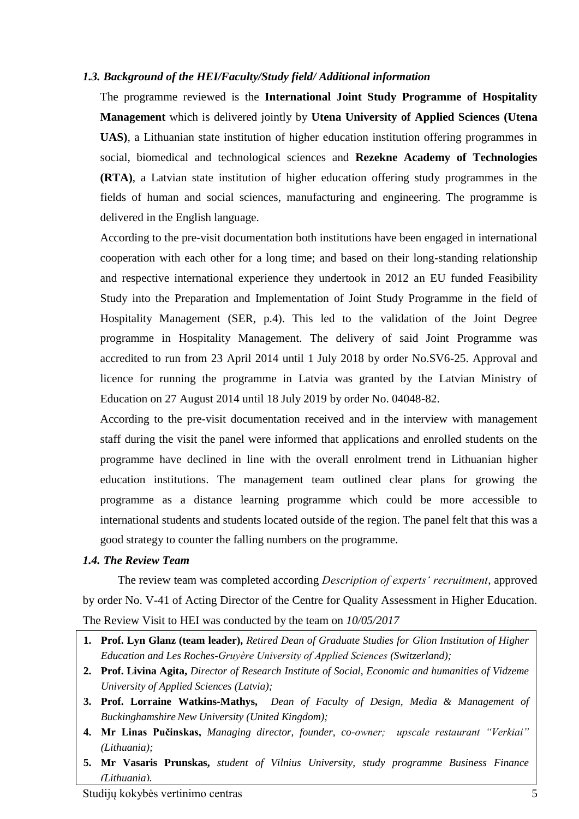#### <span id="page-4-0"></span>*1.3. Background of the HEI/Faculty/Study field/ Additional information*

The programme reviewed is the **International Joint Study Programme of Hospitality Management** which is delivered jointly by **Utena University of Applied Sciences (Utena UAS)**, a Lithuanian state institution of higher education institution offering programmes in social, biomedical and technological sciences and **Rezekne Academy of Technologies (RTA)**, a Latvian state institution of higher education offering study programmes in the fields of human and social sciences, manufacturing and engineering. The programme is delivered in the English language.

According to the pre-visit documentation both institutions have been engaged in international cooperation with each other for a long time; and based on their long-standing relationship and respective international experience they undertook in 2012 an EU funded Feasibility Study into the Preparation and Implementation of Joint Study Programme in the field of Hospitality Management (SER, p.4). This led to the validation of the Joint Degree programme in Hospitality Management. The delivery of said Joint Programme was accredited to run from 23 April 2014 until 1 July 2018 by order No.SV6-25. Approval and licence for running the programme in Latvia was granted by the Latvian Ministry of Education on 27 August 2014 until 18 July 2019 by order No. 04048-82.

According to the pre-visit documentation received and in the interview with management staff during the visit the panel were informed that applications and enrolled students on the programme have declined in line with the overall enrolment trend in Lithuanian higher education institutions. The management team outlined clear plans for growing the programme as a distance learning programme which could be more accessible to international students and students located outside of the region. The panel felt that this was a good strategy to counter the falling numbers on the programme.

#### <span id="page-4-1"></span>*1.4. The Review Team*

The review team was completed according *Description of experts' recruitment*, approved by order No. V-41 of Acting Director of the Centre for Quality Assessment in Higher Education. The Review Visit to HEI was conducted by the team on *10/05/2017*

- **1. Prof. Lyn Glanz (team leader),** *Retired Dean of Graduate Studies for Glion Institution of Higher Education and Les Roches-Gruyère University of Applied Sciences (Switzerland);*
- **2. Prof. Livina Agita,** *Director of Research Institute of Social, Economic and humanities of Vidzeme University of Applied Sciences (Latvia);*
- **3. Prof. Lorraine Watkins-Mathys,** *Dean of Faculty of Design, Media & Management of Buckinghamshire New University (United Kingdom);*
- **4. Mr Linas Pučinskas,** *Managing director, founder, co-owner; upscale restaurant "Verkiai" (Lithuania);*
- <span id="page-4-2"></span>**5. Mr Vasaris Prunskas,** *student of Vilnius University, study programme Business Finance (Lithuania).*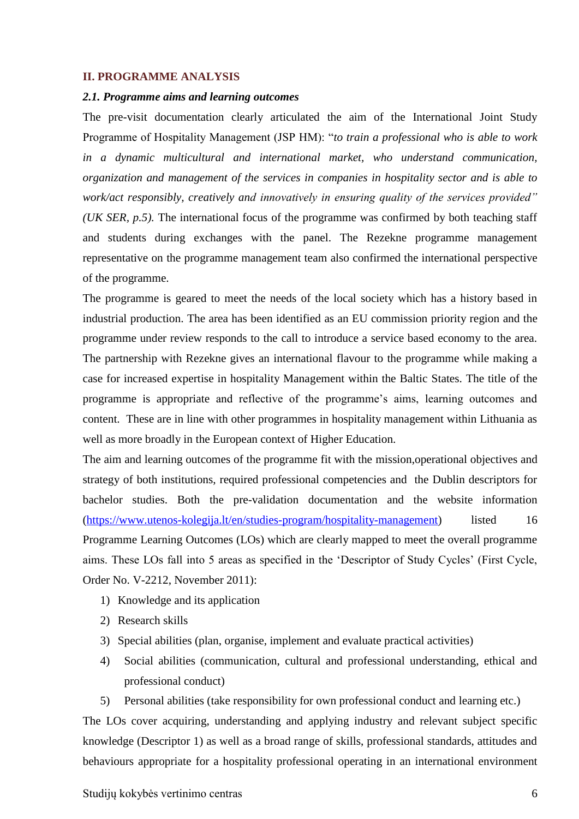#### **II. PROGRAMME ANALYSIS**

#### <span id="page-5-0"></span>*2.1. Programme aims and learning outcomes*

The pre-visit documentation clearly articulated the aim of the International Joint Study Programme of Hospitality Management (JSP HM): "*to train a professional who is able to work in a dynamic multicultural and international market, who understand communication, organization and management of the services in companies in hospitality sector and is able to work/act responsibly, creatively and innovatively in ensuring quality of the services provided" (UK SER, p.5).* The international focus of the programme was confirmed by both teaching staff and students during exchanges with the panel. The Rezekne programme management representative on the programme management team also confirmed the international perspective of the programme.

The programme is geared to meet the needs of the local society which has a history based in industrial production. The area has been identified as an EU commission priority region and the programme under review responds to the call to introduce a service based economy to the area. The partnership with Rezekne gives an international flavour to the programme while making a case for increased expertise in hospitality Management within the Baltic States. The title of the programme is appropriate and reflective of the programme's aims, learning outcomes and content. These are in line with other programmes in hospitality management within Lithuania as well as more broadly in the European context of Higher Education.

The aim and learning outcomes of the programme fit with the mission,operational objectives and strategy of both institutions, required professional competencies and the Dublin descriptors for bachelor studies. Both the pre-validation documentation and the website information [\(https://www.utenos-kolegija.lt/en/studies-program/hospitality-management\)](https://www.utenos-kolegija.lt/en/studies-program/hospitality-management) listed 16 Programme Learning Outcomes (LOs) which are clearly mapped to meet the overall programme aims. These LOs fall into 5 areas as specified in the 'Descriptor of Study Cycles' (First Cycle, Order No. V-2212, November 2011):

- 1) Knowledge and its application
- 2) Research skills
- 3) Special abilities (plan, organise, implement and evaluate practical activities)
- 4) Social abilities (communication, cultural and professional understanding, ethical and professional conduct)
- 5) Personal abilities (take responsibility for own professional conduct and learning etc.)

The LOs cover acquiring, understanding and applying industry and relevant subject specific knowledge (Descriptor 1) as well as a broad range of skills, professional standards, attitudes and behaviours appropriate for a hospitality professional operating in an international environment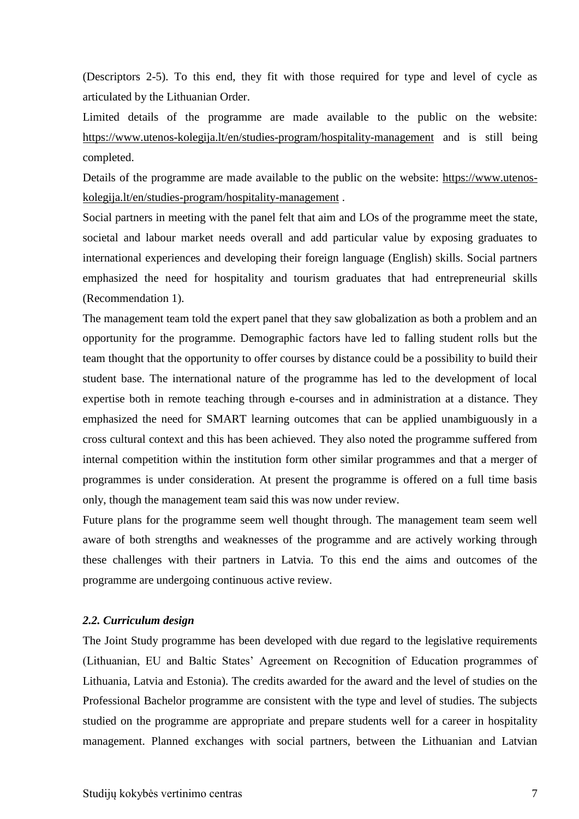(Descriptors 2-5). To this end, they fit with those required for type and level of cycle as articulated by the Lithuanian Order.

Limited details of the programme are made available to the public on the website: <https://www.utenos-kolegija.lt/en/studies-program/hospitality-management> and is still being completed.

Details of the programme are made available to the public on the website: [https://www.utenos](https://www.utenos-kolegija.lt/en/studies-program/hospitality-management)[kolegija.lt/en/studies-program/hospitality-management](https://www.utenos-kolegija.lt/en/studies-program/hospitality-management) .

Social partners in meeting with the panel felt that aim and LOs of the programme meet the state, societal and labour market needs overall and add particular value by exposing graduates to international experiences and developing their foreign language (English) skills. Social partners emphasized the need for hospitality and tourism graduates that had entrepreneurial skills (Recommendation 1).

The management team told the expert panel that they saw globalization as both a problem and an opportunity for the programme. Demographic factors have led to falling student rolls but the team thought that the opportunity to offer courses by distance could be a possibility to build their student base. The international nature of the programme has led to the development of local expertise both in remote teaching through e-courses and in administration at a distance. They emphasized the need for SMART learning outcomes that can be applied unambiguously in a cross cultural context and this has been achieved. They also noted the programme suffered from internal competition within the institution form other similar programmes and that a merger of programmes is under consideration. At present the programme is offered on a full time basis only, though the management team said this was now under review.

Future plans for the programme seem well thought through. The management team seem well aware of both strengths and weaknesses of the programme and are actively working through these challenges with their partners in Latvia. To this end the aims and outcomes of the programme are undergoing continuous active review.

#### <span id="page-6-0"></span>*2.2. Curriculum design*

The Joint Study programme has been developed with due regard to the legislative requirements (Lithuanian, EU and Baltic States' Agreement on Recognition of Education programmes of Lithuania, Latvia and Estonia). The credits awarded for the award and the level of studies on the Professional Bachelor programme are consistent with the type and level of studies. The subjects studied on the programme are appropriate and prepare students well for a career in hospitality management. Planned exchanges with social partners, between the Lithuanian and Latvian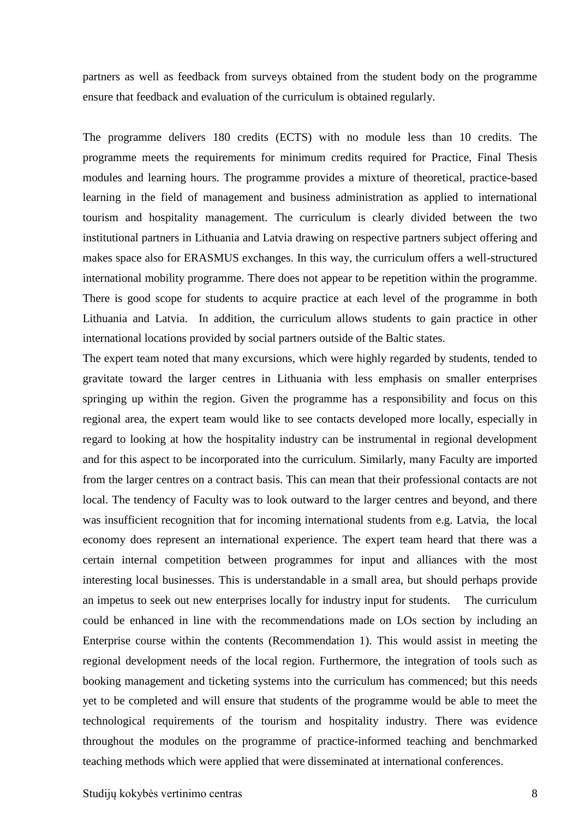partners as well as feedback from surveys obtained from the student body on the programme ensure that feedback and evaluation of the curriculum is obtained regularly.

The programme delivers 180 credits (ECTS) with no module less than 10 credits. The programme meets the requirements for minimum credits required for Practice, Final Thesis modules and learning hours. The programme provides a mixture of theoretical, practice-based learning in the field of management and business administration as applied to international tourism and hospitality management. The curriculum is clearly divided between the two institutional partners in Lithuania and Latvia drawing on respective partners subject offering and makes space also for ERASMUS exchanges. In this way, the curriculum offers a well-structured international mobility programme. There does not appear to be repetition within the programme. There is good scope for students to acquire practice at each level of the programme in both Lithuania and Latvia. In addition, the curriculum allows students to gain practice in other international locations provided by social partners outside of the Baltic states.

The expert team noted that many excursions, which were highly regarded by students, tended to gravitate toward the larger centres in Lithuania with less emphasis on smaller enterprises springing up within the region. Given the programme has a responsibility and focus on this regional area, the expert team would like to see contacts developed more locally, especially in regard to looking at how the hospitality industry can be instrumental in regional development and for this aspect to be incorporated into the curriculum. Similarly, many Faculty are imported from the larger centres on a contract basis. This can mean that their professional contacts are not local. The tendency of Faculty was to look outward to the larger centres and beyond, and there was insufficient recognition that for incoming international students from e.g. Latvia, the local economy does represent an international experience. The expert team heard that there was a certain internal competition between programmes for input and alliances with the most interesting local businesses. This is understandable in a small area, but should perhaps provide an impetus to seek out new enterprises locally for industry input for students. The curriculum could be enhanced in line with the recommendations made on LOs section by including an Enterprise course within the contents (Recommendation 1). This would assist in meeting the regional development needs of the local region. Furthermore, the integration of tools such as booking management and ticketing systems into the curriculum has commenced; but this needs yet to be completed and will ensure that students of the programme would be able to meet the technological requirements of the tourism and hospitality industry. There was evidence throughout the modules on the programme of practice-informed teaching and benchmarked teaching methods which were applied that were disseminated at international conferences.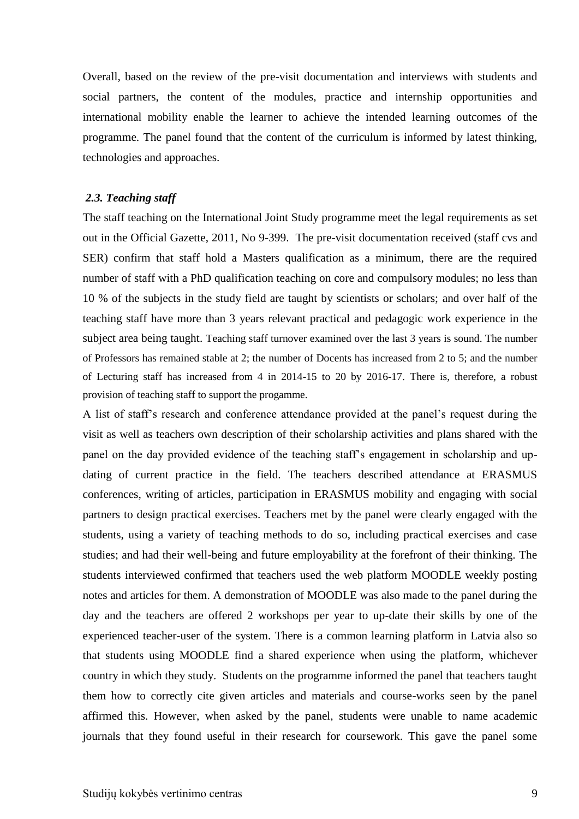Overall, based on the review of the pre-visit documentation and interviews with students and social partners, the content of the modules, practice and internship opportunities and international mobility enable the learner to achieve the intended learning outcomes of the programme. The panel found that the content of the curriculum is informed by latest thinking, technologies and approaches.

#### <span id="page-8-0"></span>*2.3. Teaching staff*

The staff teaching on the International Joint Study programme meet the legal requirements as set out in the Official Gazette, 2011, No 9-399. The pre-visit documentation received (staff cvs and SER) confirm that staff hold a Masters qualification as a minimum, there are the required number of staff with a PhD qualification teaching on core and compulsory modules; no less than 10 % of the subjects in the study field are taught by scientists or scholars; and over half of the teaching staff have more than 3 years relevant practical and pedagogic work experience in the subject area being taught. Teaching staff turnover examined over the last 3 years is sound. The number of Professors has remained stable at 2; the number of Docents has increased from 2 to 5; and the number of Lecturing staff has increased from 4 in 2014-15 to 20 by 2016-17. There is, therefore, a robust provision of teaching staff to support the progamme.

A list of staff's research and conference attendance provided at the panel's request during the visit as well as teachers own description of their scholarship activities and plans shared with the panel on the day provided evidence of the teaching staff's engagement in scholarship and updating of current practice in the field. The teachers described attendance at ERASMUS conferences, writing of articles, participation in ERASMUS mobility and engaging with social partners to design practical exercises. Teachers met by the panel were clearly engaged with the students, using a variety of teaching methods to do so, including practical exercises and case studies; and had their well-being and future employability at the forefront of their thinking. The students interviewed confirmed that teachers used the web platform MOODLE weekly posting notes and articles for them. A demonstration of MOODLE was also made to the panel during the day and the teachers are offered 2 workshops per year to up-date their skills by one of the experienced teacher-user of the system. There is a common learning platform in Latvia also so that students using MOODLE find a shared experience when using the platform, whichever country in which they study. Students on the programme informed the panel that teachers taught them how to correctly cite given articles and materials and course-works seen by the panel affirmed this. However, when asked by the panel, students were unable to name academic journals that they found useful in their research for coursework. This gave the panel some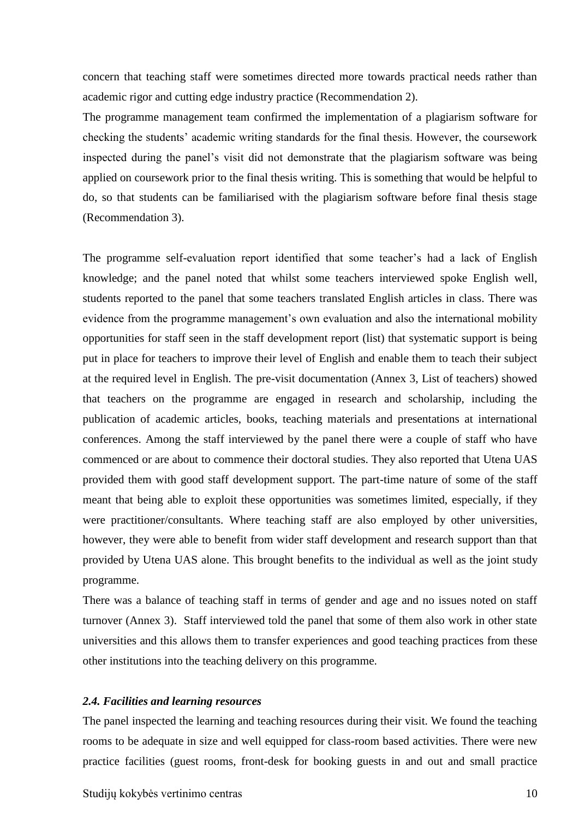concern that teaching staff were sometimes directed more towards practical needs rather than academic rigor and cutting edge industry practice (Recommendation 2).

The programme management team confirmed the implementation of a plagiarism software for checking the students' academic writing standards for the final thesis. However, the coursework inspected during the panel's visit did not demonstrate that the plagiarism software was being applied on coursework prior to the final thesis writing. This is something that would be helpful to do, so that students can be familiarised with the plagiarism software before final thesis stage (Recommendation 3).

The programme self-evaluation report identified that some teacher's had a lack of English knowledge; and the panel noted that whilst some teachers interviewed spoke English well, students reported to the panel that some teachers translated English articles in class. There was evidence from the programme management's own evaluation and also the international mobility opportunities for staff seen in the staff development report (list) that systematic support is being put in place for teachers to improve their level of English and enable them to teach their subject at the required level in English. The pre-visit documentation (Annex 3, List of teachers) showed that teachers on the programme are engaged in research and scholarship, including the publication of academic articles, books, teaching materials and presentations at international conferences. Among the staff interviewed by the panel there were a couple of staff who have commenced or are about to commence their doctoral studies. They also reported that Utena UAS provided them with good staff development support. The part-time nature of some of the staff meant that being able to exploit these opportunities was sometimes limited, especially, if they were practitioner/consultants. Where teaching staff are also employed by other universities, however, they were able to benefit from wider staff development and research support than that provided by Utena UAS alone. This brought benefits to the individual as well as the joint study programme.

There was a balance of teaching staff in terms of gender and age and no issues noted on staff turnover (Annex 3). Staff interviewed told the panel that some of them also work in other state universities and this allows them to transfer experiences and good teaching practices from these other institutions into the teaching delivery on this programme.

#### <span id="page-9-0"></span>*2.4. Facilities and learning resources*

The panel inspected the learning and teaching resources during their visit. We found the teaching rooms to be adequate in size and well equipped for class-room based activities. There were new practice facilities (guest rooms, front-desk for booking guests in and out and small practice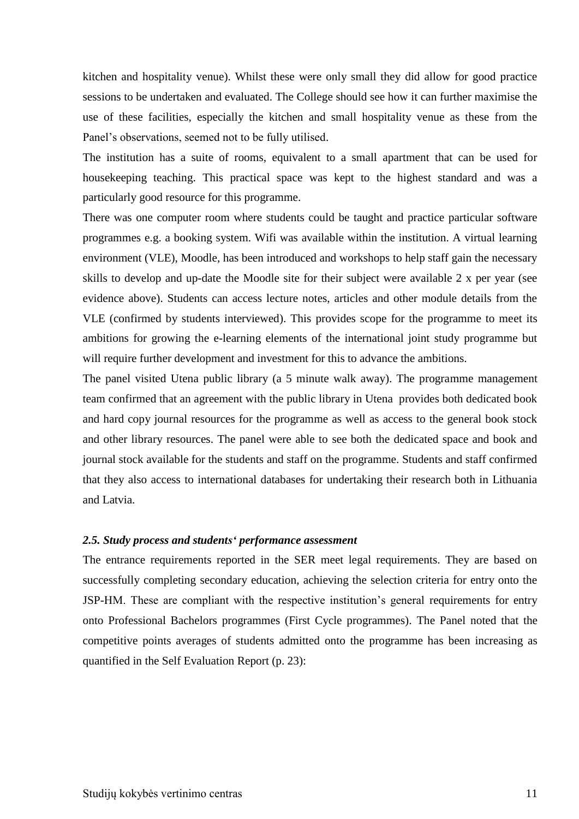kitchen and hospitality venue). Whilst these were only small they did allow for good practice sessions to be undertaken and evaluated. The College should see how it can further maximise the use of these facilities, especially the kitchen and small hospitality venue as these from the Panel's observations, seemed not to be fully utilised.

The institution has a suite of rooms, equivalent to a small apartment that can be used for housekeeping teaching. This practical space was kept to the highest standard and was a particularly good resource for this programme.

There was one computer room where students could be taught and practice particular software programmes e.g. a booking system. Wifi was available within the institution. A virtual learning environment (VLE), Moodle, has been introduced and workshops to help staff gain the necessary skills to develop and up-date the Moodle site for their subject were available 2 x per year (see evidence above). Students can access lecture notes, articles and other module details from the VLE (confirmed by students interviewed). This provides scope for the programme to meet its ambitions for growing the e-learning elements of the international joint study programme but will require further development and investment for this to advance the ambitions.

The panel visited Utena public library (a 5 minute walk away). The programme management team confirmed that an agreement with the public library in Utena provides both dedicated book and hard copy journal resources for the programme as well as access to the general book stock and other library resources. The panel were able to see both the dedicated space and book and journal stock available for the students and staff on the programme. Students and staff confirmed that they also access to international databases for undertaking their research both in Lithuania and Latvia.

#### <span id="page-10-0"></span>*2.5. Study process and students' performance assessment*

<span id="page-10-1"></span>The entrance requirements reported in the SER meet legal requirements. They are based on successfully completing secondary education, achieving the selection criteria for entry onto the JSP-HM. These are compliant with the respective institution's general requirements for entry onto Professional Bachelors programmes (First Cycle programmes). The Panel noted that the competitive points averages of students admitted onto the programme has been increasing as quantified in the Self Evaluation Report (p. 23):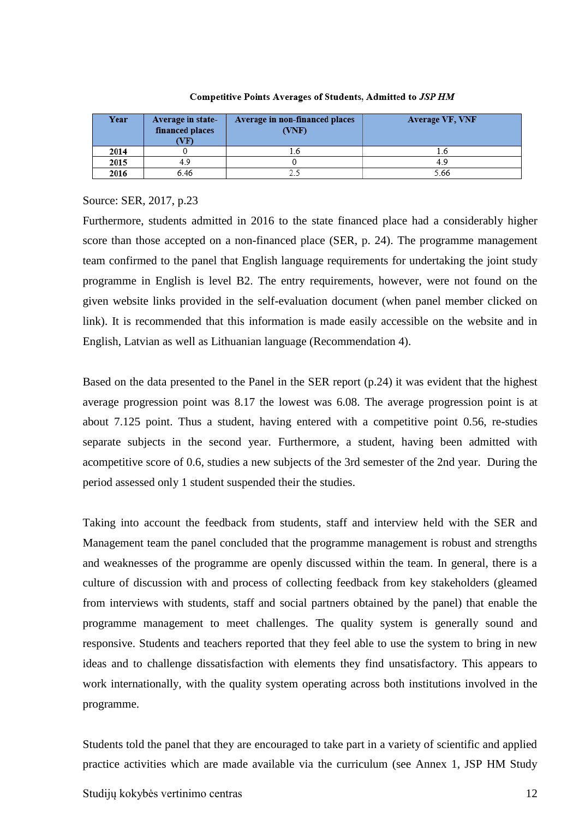| Year | Average in state-<br>financed places<br>VF) | Average in non-financed places<br>(NNF) | <b>Average VF, VNF</b> |
|------|---------------------------------------------|-----------------------------------------|------------------------|
| 2014 |                                             |                                         |                        |
| 2015 | 4.9                                         |                                         | 49                     |
| 2016 | 6.46                                        |                                         | 5.66                   |

#### Competitive Points Averages of Students, Admitted to JSP HM

#### Source: SER, 2017, p.23

Furthermore, students admitted in 2016 to the state financed place had a considerably higher score than those accepted on a non-financed place (SER, p. 24). The programme management team confirmed to the panel that English language requirements for undertaking the joint study programme in English is level B2. The entry requirements, however, were not found on the given website links provided in the self-evaluation document (when panel member clicked on link). It is recommended that this information is made easily accessible on the website and in English, Latvian as well as Lithuanian language (Recommendation 4).

Based on the data presented to the Panel in the SER report (p.24) it was evident that the highest average progression point was 8.17 the lowest was 6.08. The average progression point is at about 7.125 point. Thus a student, having entered with a competitive point 0.56, re-studies separate subjects in the second year. Furthermore, a student, having been admitted with acompetitive score of 0.6, studies a new subjects of the 3rd semester of the 2nd year. During the period assessed only 1 student suspended their the studies.

Taking into account the feedback from students, staff and interview held with the SER and Management team the panel concluded that the programme management is robust and strengths and weaknesses of the programme are openly discussed within the team. In general, there is a culture of discussion with and process of collecting feedback from key stakeholders (gleamed from interviews with students, staff and social partners obtained by the panel) that enable the programme management to meet challenges. The quality system is generally sound and responsive. Students and teachers reported that they feel able to use the system to bring in new ideas and to challenge dissatisfaction with elements they find unsatisfactory. This appears to work internationally, with the quality system operating across both institutions involved in the programme.

Students told the panel that they are encouraged to take part in a variety of scientific and applied practice activities which are made available via the curriculum (see Annex 1, JSP HM Study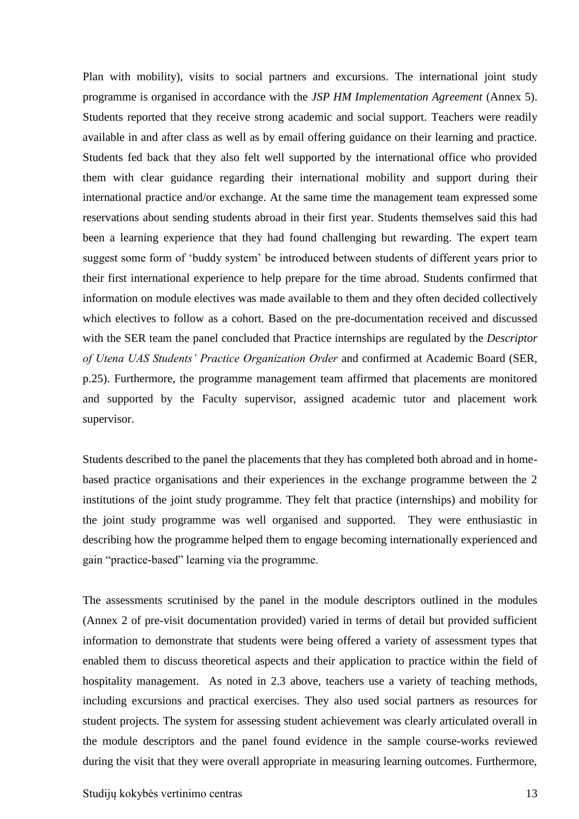Plan with mobility), visits to social partners and excursions. The international joint study programme is organised in accordance with the *JSP HM Implementation Agreement* (Annex 5). Students reported that they receive strong academic and social support. Teachers were readily available in and after class as well as by email offering guidance on their learning and practice. Students fed back that they also felt well supported by the international office who provided them with clear guidance regarding their international mobility and support during their international practice and/or exchange. At the same time the management team expressed some reservations about sending students abroad in their first year. Students themselves said this had been a learning experience that they had found challenging but rewarding. The expert team suggest some form of 'buddy system' be introduced between students of different years prior to their first international experience to help prepare for the time abroad. Students confirmed that information on module electives was made available to them and they often decided collectively which electives to follow as a cohort. Based on the pre-documentation received and discussed with the SER team the panel concluded that Practice internships are regulated by the *Descriptor of Utena UAS Students' Practice Organization Order* and confirmed at Academic Board (SER, p.25). Furthermore, the programme management team affirmed that placements are monitored and supported by the Faculty supervisor, assigned academic tutor and placement work supervisor.

Students described to the panel the placements that they has completed both abroad and in homebased practice organisations and their experiences in the exchange programme between the 2 institutions of the joint study programme. They felt that practice (internships) and mobility for the joint study programme was well organised and supported. They were enthusiastic in describing how the programme helped them to engage becoming internationally experienced and gain "practice-based" learning via the programme.

The assessments scrutinised by the panel in the module descriptors outlined in the modules (Annex 2 of pre-visit documentation provided) varied in terms of detail but provided sufficient information to demonstrate that students were being offered a variety of assessment types that enabled them to discuss theoretical aspects and their application to practice within the field of hospitality management. As noted in 2.3 above, teachers use a variety of teaching methods, including excursions and practical exercises. They also used social partners as resources for student projects. The system for assessing student achievement was clearly articulated overall in the module descriptors and the panel found evidence in the sample course-works reviewed during the visit that they were overall appropriate in measuring learning outcomes. Furthermore,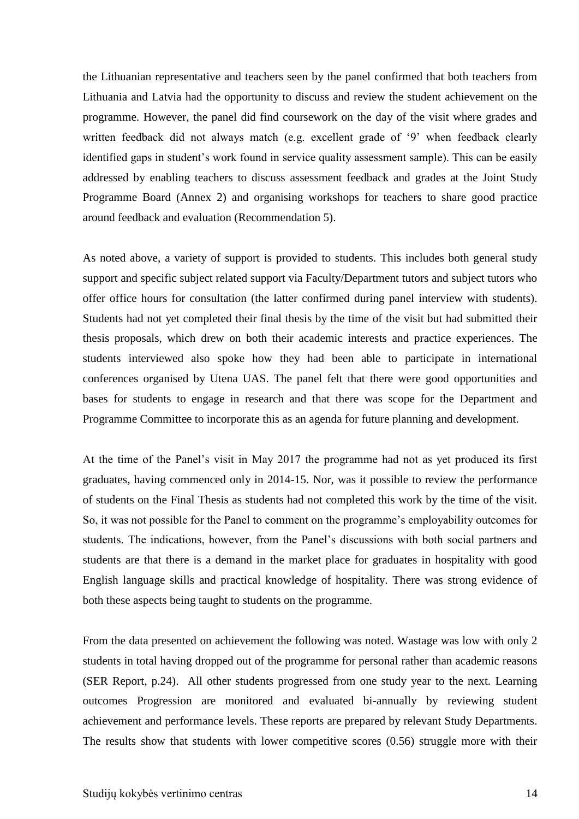the Lithuanian representative and teachers seen by the panel confirmed that both teachers from Lithuania and Latvia had the opportunity to discuss and review the student achievement on the programme. However, the panel did find coursework on the day of the visit where grades and written feedback did not always match (e.g. excellent grade of '9' when feedback clearly identified gaps in student's work found in service quality assessment sample). This can be easily addressed by enabling teachers to discuss assessment feedback and grades at the Joint Study Programme Board (Annex 2) and organising workshops for teachers to share good practice around feedback and evaluation (Recommendation 5).

As noted above, a variety of support is provided to students. This includes both general study support and specific subject related support via Faculty/Department tutors and subject tutors who offer office hours for consultation (the latter confirmed during panel interview with students). Students had not yet completed their final thesis by the time of the visit but had submitted their thesis proposals, which drew on both their academic interests and practice experiences. The students interviewed also spoke how they had been able to participate in international conferences organised by Utena UAS. The panel felt that there were good opportunities and bases for students to engage in research and that there was scope for the Department and Programme Committee to incorporate this as an agenda for future planning and development.

At the time of the Panel's visit in May 2017 the programme had not as yet produced its first graduates, having commenced only in 2014-15. Nor, was it possible to review the performance of students on the Final Thesis as students had not completed this work by the time of the visit. So, it was not possible for the Panel to comment on the programme's employability outcomes for students. The indications, however, from the Panel's discussions with both social partners and students are that there is a demand in the market place for graduates in hospitality with good English language skills and practical knowledge of hospitality. There was strong evidence of both these aspects being taught to students on the programme.

From the data presented on achievement the following was noted. Wastage was low with only 2 students in total having dropped out of the programme for personal rather than academic reasons (SER Report, p.24). All other students progressed from one study year to the next. Learning outcomes Progression are monitored and evaluated bi-annually by reviewing student achievement and performance levels. These reports are prepared by relevant Study Departments. The results show that students with lower competitive scores (0.56) struggle more with their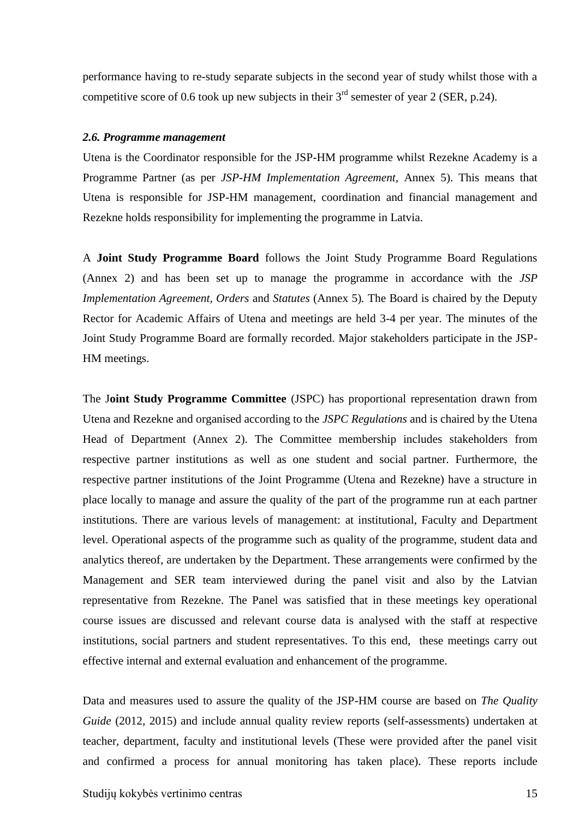performance having to re-study separate subjects in the second year of study whilst those with a competitive score of 0.6 took up new subjects in their  $3<sup>rd</sup>$  semester of year 2 (SER, p.24).

#### *2.6. Programme management*

Utena is the Coordinator responsible for the JSP-HM programme whilst Rezekne Academy is a Programme Partner (as per *JSP-HM Implementation Agreement,* Annex 5). This means that Utena is responsible for JSP-HM management, coordination and financial management and Rezekne holds responsibility for implementing the programme in Latvia.

A **Joint Study Programme Board** follows the Joint Study Programme Board Regulations (Annex 2) and has been set up to manage the programme in accordance with the *JSP Implementation Agreement, Orders* and *Statutes* (Annex 5)*.* The Board is chaired by the Deputy Rector for Academic Affairs of Utena and meetings are held 3-4 per year. The minutes of the Joint Study Programme Board are formally recorded. Major stakeholders participate in the JSP-HM meetings.

The J**oint Study Programme Committee** (JSPC) has proportional representation drawn from Utena and Rezekne and organised according to the *JSPC Regulations* and is chaired by the Utena Head of Department (Annex 2). The Committee membership includes stakeholders from respective partner institutions as well as one student and social partner. Furthermore, the respective partner institutions of the Joint Programme (Utena and Rezekne) have a structure in place locally to manage and assure the quality of the part of the programme run at each partner institutions. There are various levels of management: at institutional, Faculty and Department level. Operational aspects of the programme such as quality of the programme, student data and analytics thereof, are undertaken by the Department. These arrangements were confirmed by the Management and SER team interviewed during the panel visit and also by the Latvian representative from Rezekne. The Panel was satisfied that in these meetings key operational course issues are discussed and relevant course data is analysed with the staff at respective institutions, social partners and student representatives. To this end, these meetings carry out effective internal and external evaluation and enhancement of the programme.

Data and measures used to assure the quality of the JSP-HM course are based on *The Quality Guide* (2012, 2015) and include annual quality review reports (self-assessments) undertaken at teacher, department, faculty and institutional levels (These were provided after the panel visit and confirmed a process for annual monitoring has taken place). These reports include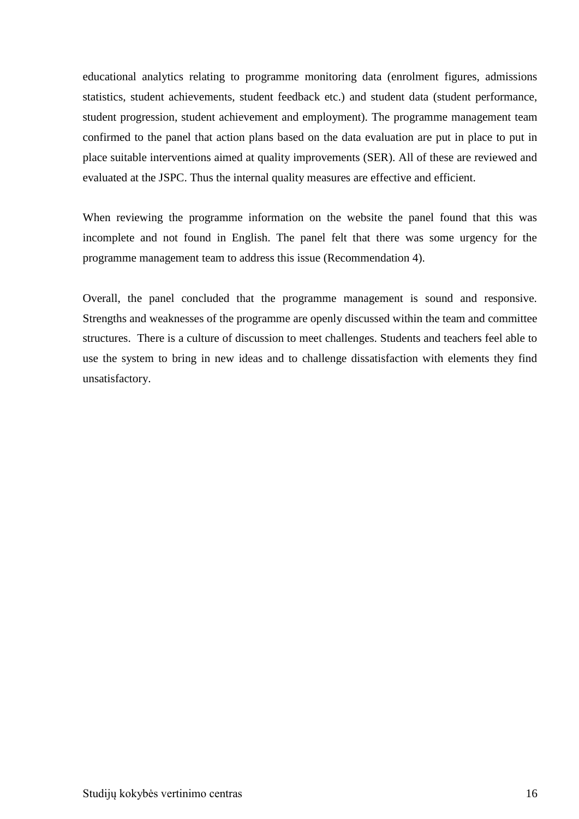educational analytics relating to programme monitoring data (enrolment figures, admissions statistics, student achievements, student feedback etc.) and student data (student performance, student progression, student achievement and employment). The programme management team confirmed to the panel that action plans based on the data evaluation are put in place to put in place suitable interventions aimed at quality improvements (SER). All of these are reviewed and evaluated at the JSPC. Thus the internal quality measures are effective and efficient.

When reviewing the programme information on the website the panel found that this was incomplete and not found in English. The panel felt that there was some urgency for the programme management team to address this issue (Recommendation 4).

Overall, the panel concluded that the programme management is sound and responsive. Strengths and weaknesses of the programme are openly discussed within the team and committee structures. There is a culture of discussion to meet challenges. Students and teachers feel able to use the system to bring in new ideas and to challenge dissatisfaction with elements they find unsatisfactory.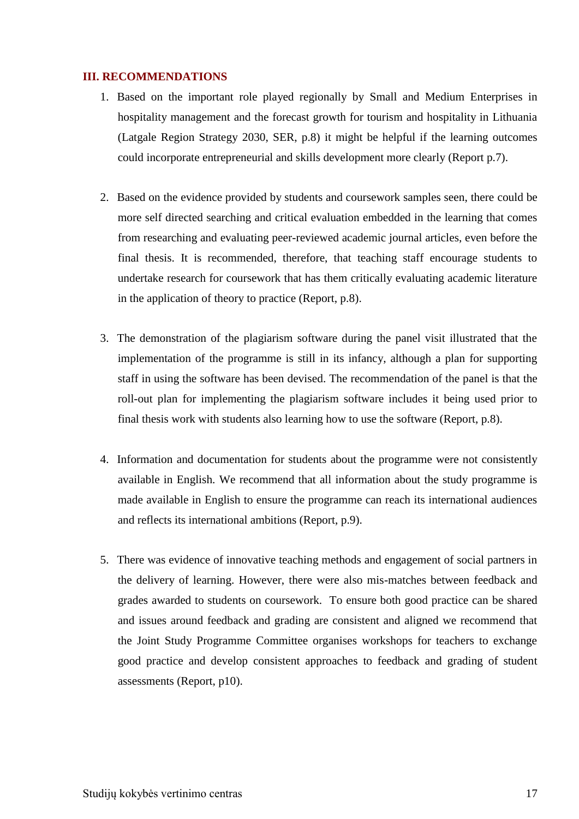#### <span id="page-16-0"></span>**III. RECOMMENDATIONS**

- 1. Based on the important role played regionally by Small and Medium Enterprises in hospitality management and the forecast growth for tourism and hospitality in Lithuania (Latgale Region Strategy 2030, SER, p.8) it might be helpful if the learning outcomes could incorporate entrepreneurial and skills development more clearly (Report p.7).
- 2. Based on the evidence provided by students and coursework samples seen, there could be more self directed searching and critical evaluation embedded in the learning that comes from researching and evaluating peer-reviewed academic journal articles, even before the final thesis. It is recommended, therefore, that teaching staff encourage students to undertake research for coursework that has them critically evaluating academic literature in the application of theory to practice (Report, p.8).
- 3. The demonstration of the plagiarism software during the panel visit illustrated that the implementation of the programme is still in its infancy, although a plan for supporting staff in using the software has been devised. The recommendation of the panel is that the roll-out plan for implementing the plagiarism software includes it being used prior to final thesis work with students also learning how to use the software (Report, p.8).
- 4. Information and documentation for students about the programme were not consistently available in English. We recommend that all information about the study programme is made available in English to ensure the programme can reach its international audiences and reflects its international ambitions (Report, p.9).
- 5. There was evidence of innovative teaching methods and engagement of social partners in the delivery of learning. However, there were also mis-matches between feedback and grades awarded to students on coursework. To ensure both good practice can be shared and issues around feedback and grading are consistent and aligned we recommend that the Joint Study Programme Committee organises workshops for teachers to exchange good practice and develop consistent approaches to feedback and grading of student assessments (Report, p10).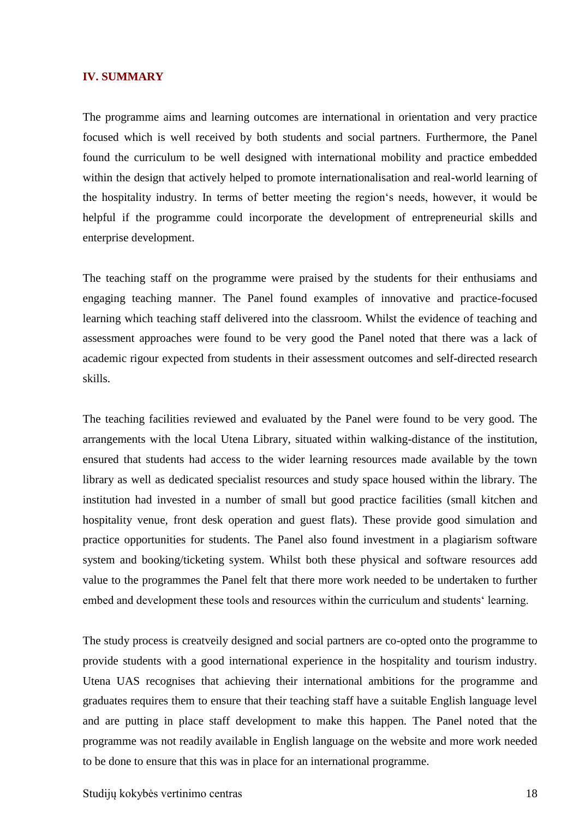#### <span id="page-17-0"></span>**IV. SUMMARY**

The programme aims and learning outcomes are international in orientation and very practice focused which is well received by both students and social partners. Furthermore, the Panel found the curriculum to be well designed with international mobility and practice embedded within the design that actively helped to promote internationalisation and real-world learning of the hospitality industry. In terms of better meeting the region's needs, however, it would be helpful if the programme could incorporate the development of entrepreneurial skills and enterprise development.

The teaching staff on the programme were praised by the students for their enthusiams and engaging teaching manner. The Panel found examples of innovative and practice-focused learning which teaching staff delivered into the classroom. Whilst the evidence of teaching and assessment approaches were found to be very good the Panel noted that there was a lack of academic rigour expected from students in their assessment outcomes and self-directed research skills.

The teaching facilities reviewed and evaluated by the Panel were found to be very good. The arrangements with the local Utena Library, situated within walking-distance of the institution, ensured that students had access to the wider learning resources made available by the town library as well as dedicated specialist resources and study space housed within the library. The institution had invested in a number of small but good practice facilities (small kitchen and hospitality venue, front desk operation and guest flats). These provide good simulation and practice opportunities for students. The Panel also found investment in a plagiarism software system and booking/ticketing system. Whilst both these physical and software resources add value to the programmes the Panel felt that there more work needed to be undertaken to further embed and development these tools and resources within the curriculum and students' learning.

The study process is creatveily designed and social partners are co-opted onto the programme to provide students with a good international experience in the hospitality and tourism industry. Utena UAS recognises that achieving their international ambitions for the programme and graduates requires them to ensure that their teaching staff have a suitable English language level and are putting in place staff development to make this happen. The Panel noted that the programme was not readily available in English language on the website and more work needed to be done to ensure that this was in place for an international programme.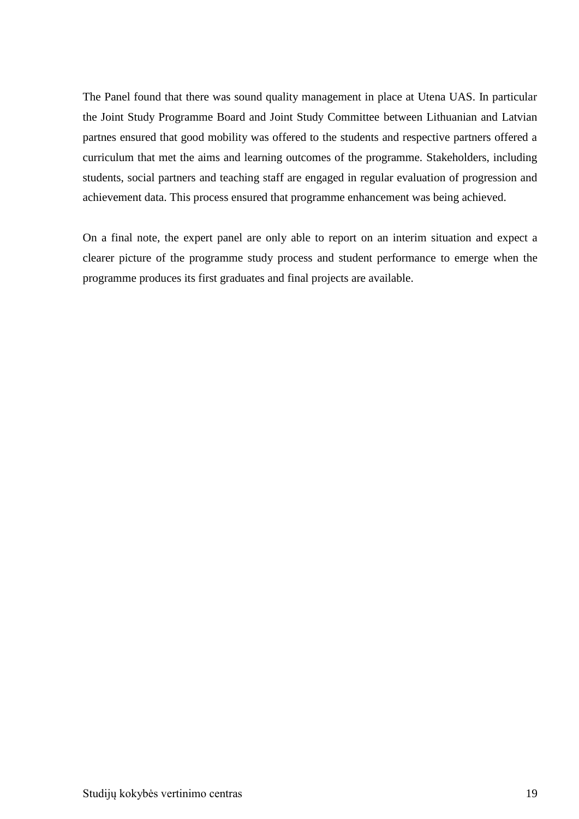The Panel found that there was sound quality management in place at Utena UAS. In particular the Joint Study Programme Board and Joint Study Committee between Lithuanian and Latvian partnes ensured that good mobility was offered to the students and respective partners offered a curriculum that met the aims and learning outcomes of the programme. Stakeholders, including students, social partners and teaching staff are engaged in regular evaluation of progression and achievement data. This process ensured that programme enhancement was being achieved.

<span id="page-18-0"></span>On a final note, the expert panel are only able to report on an interim situation and expect a clearer picture of the programme study process and student performance to emerge when the programme produces its first graduates and final projects are available.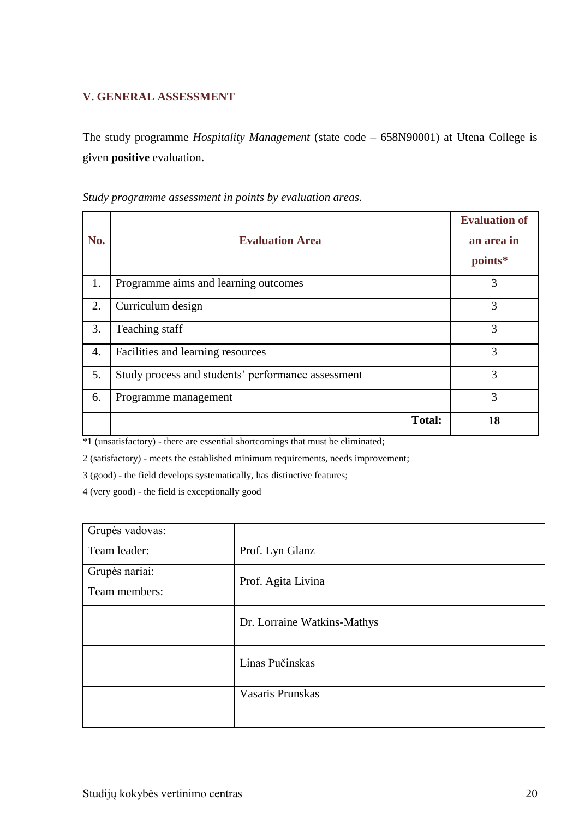### **V. GENERAL ASSESSMENT**

The study programme *Hospitality Management* (state code – 658N90001) at Utena College is given **positive** evaluation.

| No. | <b>Evaluation Area</b>                             | <b>Evaluation of</b><br>an area in<br>points* |
|-----|----------------------------------------------------|-----------------------------------------------|
| 1.  | Programme aims and learning outcomes               | 3                                             |
| 2.  | Curriculum design                                  | 3                                             |
| 3.  | Teaching staff                                     | 3                                             |
| 4.  | Facilities and learning resources                  | 3                                             |
| 5.  | Study process and students' performance assessment | 3                                             |
| 6.  | Programme management                               | 3                                             |
|     | <b>Total:</b>                                      | 18                                            |

*Study programme assessment in points by evaluation areas*.

\*1 (unsatisfactory) - there are essential shortcomings that must be eliminated;

2 (satisfactory) - meets the established minimum requirements, needs improvement;

3 (good) - the field develops systematically, has distinctive features;

4 (very good) - the field is exceptionally good

| Grupės vadovas: |                             |
|-----------------|-----------------------------|
| Team leader:    | Prof. Lyn Glanz             |
| Grupės nariai:  | Prof. Agita Livina          |
| Team members:   |                             |
|                 | Dr. Lorraine Watkins-Mathys |
|                 | Linas Pučinskas             |
|                 | Vasaris Prunskas            |
|                 |                             |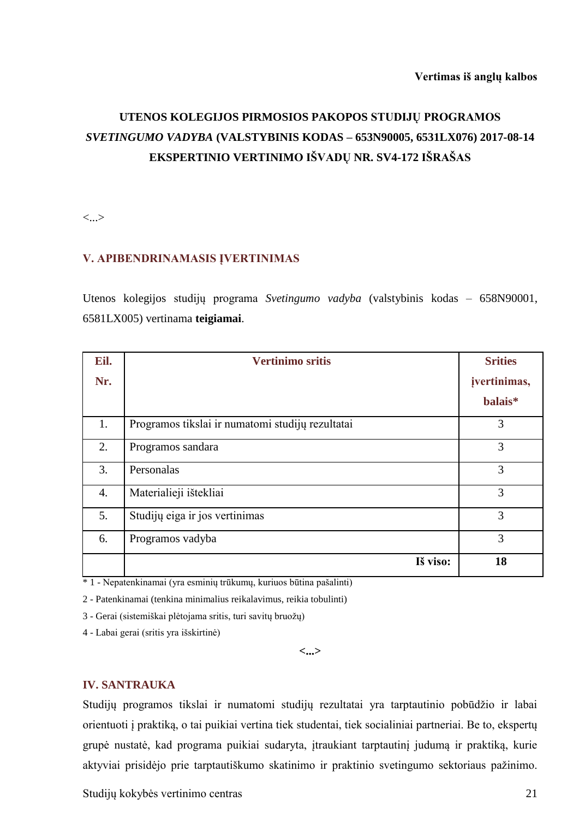# **UTENOS KOLEGIJOS PIRMOSIOS PAKOPOS STUDIJŲ PROGRAMOS**  *SVETINGUMO VADYBA* **(VALSTYBINIS KODAS – 653N90005, 6531LX076) 2017-08-14 EKSPERTINIO VERTINIMO IŠVADŲ NR. SV4-172 IŠRAŠAS**

<...>

#### **V. APIBENDRINAMASIS ĮVERTINIMAS**

Utenos kolegijos studijų programa *Svetingumo vadyba* (valstybinis kodas – 658N90001, 6581LX005) vertinama **teigiamai**.

| Eil.             | <b>Vertinimo sritis</b>                          | <b>Srities</b> |
|------------------|--------------------------------------------------|----------------|
| Nr.              |                                                  | jvertinimas,   |
|                  |                                                  | balais*        |
| 1.               | Programos tikslai ir numatomi studijų rezultatai | 3              |
| 2.               | Programos sandara                                | 3              |
| 3.               | Personalas                                       | 3              |
| $\overline{4}$ . | Materialieji ištekliai                           | 3              |
| 5.               | Studijų eiga ir jos vertinimas                   | 3              |
| 6.               | Programos vadyba                                 | 3              |
|                  | Iš viso:                                         | 18             |

\* 1 - Nepatenkinamai (yra esminių trūkumų, kuriuos būtina pašalinti)

2 - Patenkinamai (tenkina minimalius reikalavimus, reikia tobulinti)

3 - Gerai (sistemiškai plėtojama sritis, turi savitų bruožų)

4 - Labai gerai (sritis yra išskirtinė)

**<...>**

#### **IV. SANTRAUKA**

Studijų programos tikslai ir numatomi studijų rezultatai yra tarptautinio pobūdžio ir labai orientuoti į praktiką, o tai puikiai vertina tiek studentai, tiek socialiniai partneriai. Be to, ekspertų grupė nustatė, kad programa puikiai sudaryta, įtraukiant tarptautinį judumą ir praktiką, kurie aktyviai prisidėjo prie tarptautiškumo skatinimo ir praktinio svetingumo sektoriaus pažinimo.

Studijų kokybės vertinimo centras 21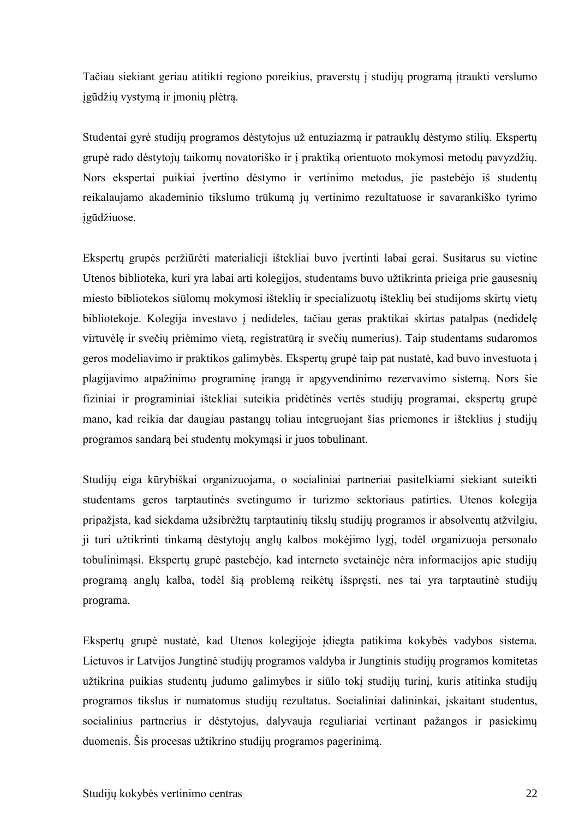Tačiau siekiant geriau atitikti regiono poreikius, praverstų į studijų programą įtraukti verslumo įgūdžių vystymą ir įmonių plėtrą.

Studentai gyrė studijų programos dėstytojus už entuziazmą ir patrauklų dėstymo stilių. Ekspertų grupė rado dėstytojų taikomų novatoriško ir į praktiką orientuoto mokymosi metodų pavyzdžių. Nors ekspertai puikiai įvertino dėstymo ir vertinimo metodus, jie pastebėjo iš studentų reikalaujamo akademinio tikslumo trūkumą jų vertinimo rezultatuose ir savarankiško tyrimo įgūdžiuose.

Ekspertų grupės peržiūrėti materialieji ištekliai buvo įvertinti labai gerai. Susitarus su vietine Utenos biblioteka, kuri yra labai arti kolegijos, studentams buvo užtikrinta prieiga prie gausesnių miesto bibliotekos siūlomų mokymosi išteklių ir specializuotų išteklių bei studijoms skirtų vietų bibliotekoje. Kolegija investavo į nedideles, tačiau geras praktikai skirtas patalpas (nedidelę virtuvėlę ir svečių priėmimo vietą, registratūrą ir svečių numerius). Taip studentams sudaromos geros modeliavimo ir praktikos galimybės. Ekspertų grupė taip pat nustatė, kad buvo investuota į plagijavimo atpažinimo programinę įrangą ir apgyvendinimo rezervavimo sistemą. Nors šie fiziniai ir programiniai ištekliai suteikia pridėtinės vertės studijų programai, ekspertų grupė mano, kad reikia dar daugiau pastangų toliau integruojant šias priemones ir išteklius į studijų programos sandarą bei studentų mokymąsi ir juos tobulinant.

Studijų eiga kūrybiškai organizuojama, o socialiniai partneriai pasitelkiami siekiant suteikti studentams geros tarptautinės svetingumo ir turizmo sektoriaus patirties. Utenos kolegija pripažįsta, kad siekdama užsibrėžtų tarptautinių tikslų studijų programos ir absolventų atžvilgiu, ji turi užtikrinti tinkamą dėstytojų anglų kalbos mokėjimo lygį, todėl organizuoja personalo tobulinimąsi. Ekspertų grupė pastebėjo, kad interneto svetainėje nėra informacijos apie studijų programą anglų kalba, todėl šią problemą reikėtų išspręsti, nes tai yra tarptautinė studijų programa.

Ekspertų grupė nustatė, kad Utenos kolegijoje įdiegta patikima kokybės vadybos sistema. Lietuvos ir Latvijos Jungtinė studijų programos valdyba ir Jungtinis studijų programos komitetas užtikrina puikias studentų judumo galimybes ir siūlo tokį studijų turinį, kuris atitinka studijų programos tikslus ir numatomus studijų rezultatus. Socialiniai dalininkai, įskaitant studentus, socialinius partnerius ir dėstytojus, dalyvauja reguliariai vertinant pažangos ir pasiekimų duomenis. Šis procesas užtikrino studijų programos pagerinimą.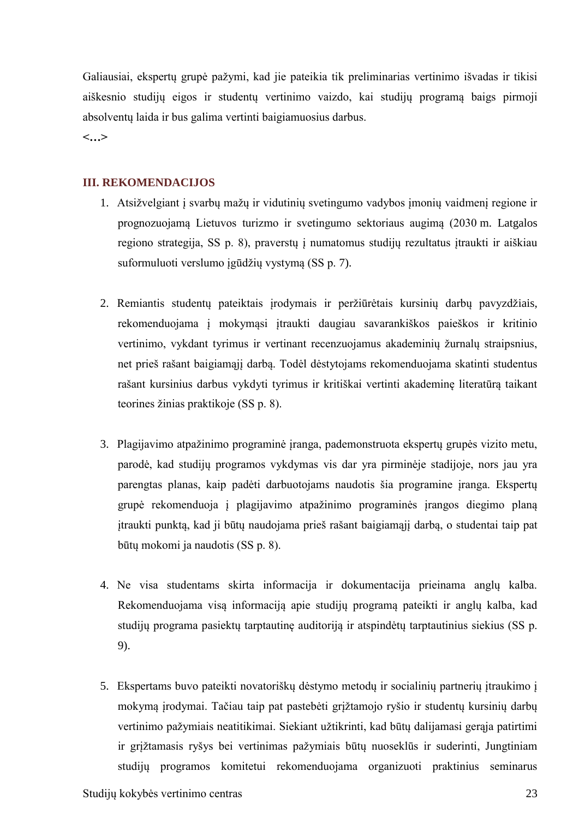Galiausiai, ekspertų grupė pažymi, kad jie pateikia tik preliminarias vertinimo išvadas ir tikisi aiškesnio studijų eigos ir studentų vertinimo vaizdo, kai studijų programą baigs pirmoji absolventų laida ir bus galima vertinti baigiamuosius darbus.

**<…>**

#### **III. REKOMENDACIJOS**

- 1. Atsižvelgiant į svarbų mažų ir vidutinių svetingumo vadybos įmonių vaidmenį regione ir prognozuojamą Lietuvos turizmo ir svetingumo sektoriaus augimą (2030 m. Latgalos regiono strategija, SS p. 8), praverstų į numatomus studijų rezultatus įtraukti ir aiškiau suformuluoti verslumo įgūdžių vystymą (SS p. 7).
- 2. Remiantis studentų pateiktais įrodymais ir peržiūrėtais kursinių darbų pavyzdžiais, rekomenduojama į mokymąsi įtraukti daugiau savarankiškos paieškos ir kritinio vertinimo, vykdant tyrimus ir vertinant recenzuojamus akademinių žurnalų straipsnius, net prieš rašant baigiamąjį darbą. Todėl dėstytojams rekomenduojama skatinti studentus rašant kursinius darbus vykdyti tyrimus ir kritiškai vertinti akademinę literatūrą taikant teorines žinias praktikoje (SS p. 8).
- 3. Plagijavimo atpažinimo programinė įranga, pademonstruota ekspertų grupės vizito metu, parodė, kad studijų programos vykdymas vis dar yra pirminėje stadijoje, nors jau yra parengtas planas, kaip padėti darbuotojams naudotis šia programine įranga. Ekspertų grupė rekomenduoja į plagijavimo atpažinimo programinės įrangos diegimo planą įtraukti punktą, kad ji būtų naudojama prieš rašant baigiamąjį darbą, o studentai taip pat būtų mokomi ja naudotis (SS p. 8).
- 4. Ne visa studentams skirta informacija ir dokumentacija prieinama anglų kalba. Rekomenduojama visą informaciją apie studijų programą pateikti ir anglų kalba, kad studijų programa pasiektų tarptautinę auditoriją ir atspindėtų tarptautinius siekius (SS p. 9).
- 5. Ekspertams buvo pateikti novatoriškų dėstymo metodų ir socialinių partnerių įtraukimo į mokymą įrodymai. Tačiau taip pat pastebėti grįžtamojo ryšio ir studentų kursinių darbų vertinimo pažymiais neatitikimai. Siekiant užtikrinti, kad būtų dalijamasi gerąja patirtimi ir grįžtamasis ryšys bei vertinimas pažymiais būtų nuoseklūs ir suderinti, Jungtiniam studijų programos komitetui rekomenduojama organizuoti praktinius seminarus